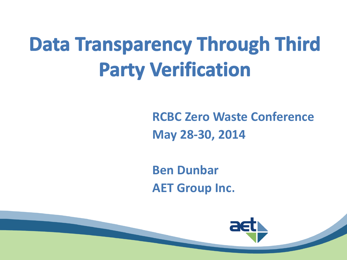# **Data Transparency Through Third Party Verification**

**RCBC Zero Waste Conference May 28-30, 2014**

**Ben Dunbar AET Group Inc**.

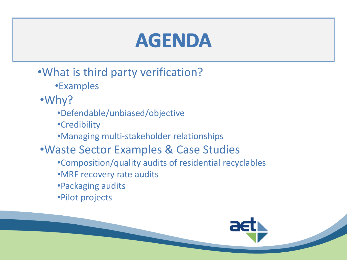#### **AGENDA**

- •What is third party verification?
	- •Examples
- •Why?
	- •Defendable/unbiased/objective
	- •Credibility
	- •Managing multi-stakeholder relationships
- •Waste Sector Examples & Case Studies
	- •Composition/quality audits of residential recyclables
	- •MRF recovery rate audits
	- •Packaging audits
	- •Pilot projects

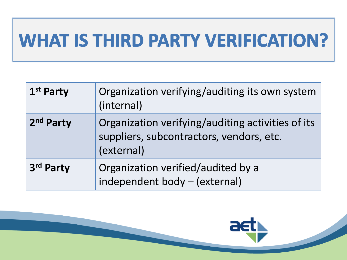#### WHAT IS THIRD PARTY VERIFICATION?

| 1 <sup>st</sup> Party | Organization verifying/auditing its own system<br>(internal)                                                |
|-----------------------|-------------------------------------------------------------------------------------------------------------|
| 2 <sup>nd</sup> Party | Organization verifying/auditing activities of its<br>suppliers, subcontractors, vendors, etc.<br>(external) |
| 3rd Party             | Organization verified/audited by a<br>independent body - (external)                                         |

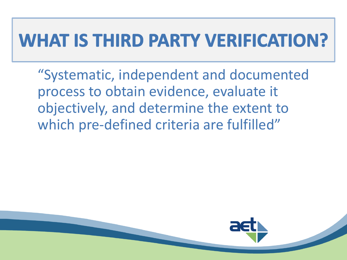#### WHAT IS THIRD PARTY VERIFICATION?

"Systematic, independent and documented process to obtain evidence, evaluate it objectively, and determine the extent to which pre-defined criteria are fulfilled"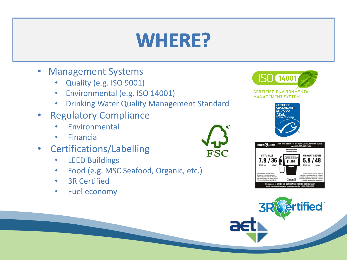#### WHERE?

FSC

- Management Systems
	- Quality (e.g. ISO 9001)
	- Environmental (e.g. ISO 14001)
	- Drinking Water Quality Management Standard
- Regulatory Compliance
	- **Fnvironmental**
	- Financial
- Certifications/Labelling
	- LEED Buildings
	- Food (e.g. MSC Seafood, Organic, etc.)
	- **3R Certified**
	- Fuel economy







**tified**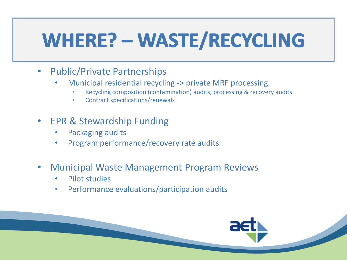## WHERE? - WASTE/RECYCLING

- Public/Private Partnerships
	- Municipal residential recycling -> private MRF processing
		- Recycling composition (contamination) audits, processing & recovery audits
		- Contract specifications/renewals
- EPR & Stewardship Funding
	- Packaging audits
	- Program performance/recovery rate audits
- Municipal Waste Management Program Reviews
	- Pilot studies
	- Performance evaluations/participation audits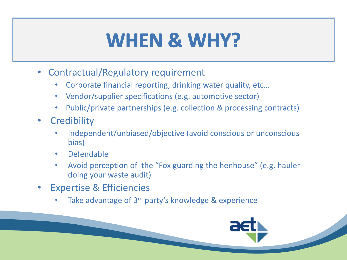#### WHEN & WHY?

- Contractual/Regulatory requirement
	- Corporate financial reporting, drinking water quality, etc…
	- Vendor/supplier specifications (e.g. automotive sector)
	- Public/private partnerships (e.g. collection & processing contracts)
- Credibility
	- Independent/unbiased/objective (avoid conscious or unconscious bias)
	- Defendable
	- Avoid perception of the "Fox guarding the henhouse" (e.g. hauler doing your waste audit)
- **Expertise & Efficiencies** 
	- Take advantage of 3<sup>rd</sup> party's knowledge & experience

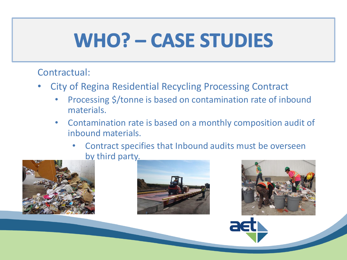#### Contractual:

- City of Regina Residential Recycling Processing Contract
	- Processing \$/tonne is based on contamination rate of inbound materials.
	- Contamination rate is based on a monthly composition audit of inbound materials.
		- Contract specifies that Inbound audits must be overseen by third party.





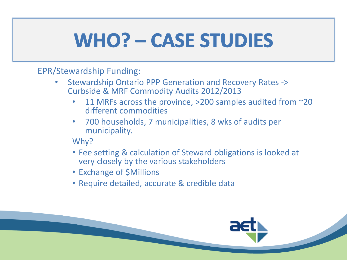EPR/Stewardship Funding:

- Stewardship Ontario PPP Generation and Recovery Rates -> Curbside & MRF Commodity Audits 2012/2013
	- 11 MRFs across the province,  $>$ 200 samples audited from  $\sim$ 20 different commodities
	- 700 households, 7 municipalities, 8 wks of audits per municipality.

Why?

- Fee setting & calculation of Steward obligations is looked at very closely by the various stakeholders
- Exchange of \$Millions
- Require detailed, accurate & credible data

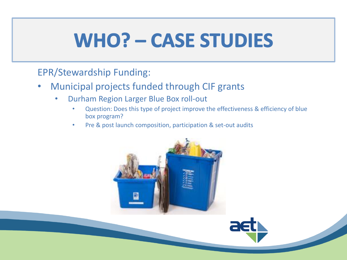#### EPR/Stewardship Funding:

- Municipal projects funded through CIF grants
	- Durham Region Larger Blue Box roll-out
		- Question: Does this type of project improve the effectiveness & efficiency of blue box program?
		- Pre & post launch composition, participation & set-out audits



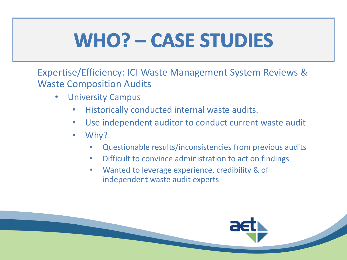Expertise/Efficiency: ICI Waste Management System Reviews & Waste Composition Audits

- University Campus
	- Historically conducted internal waste audits.
	- Use independent auditor to conduct current waste audit
	- Why?
		- Questionable results/inconsistencies from previous audits
		- Difficult to convince administration to act on findings
		- Wanted to leverage experience, credibility & of independent waste audit experts

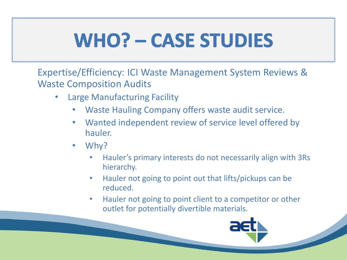Expertise/Efficiency: ICI Waste Management System Reviews & Waste Composition Audits

- Large Manufacturing Facility
	- Waste Hauling Company offers waste audit service.
	- Wanted independent review of service level offered by hauler.
	- Why?
		- Hauler's primary interests do not necessarily align with 3Rs hierarchy.
		- Hauler not going to point out that lifts/pickups can be reduced.
		- Hauler not going to point client to a competitor or other outlet for potentially divertible materials.

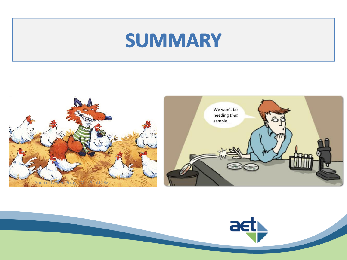#### SUMMARY